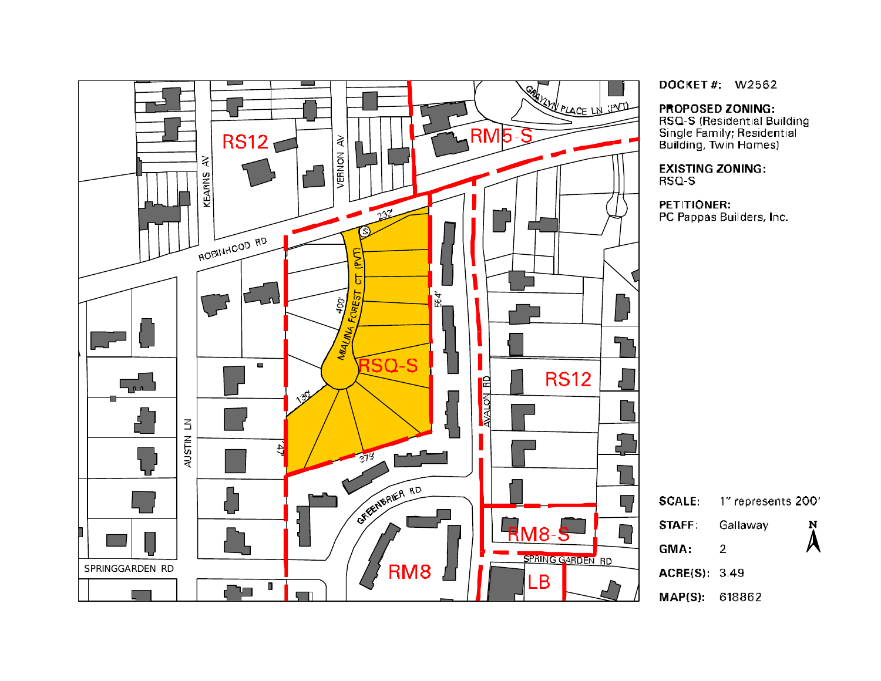

DOCKET#: W2562

#### **PROPOSED ZONING:**

RSQ-S (Residential Building Single Family; Residential<br>Building, Twin Homes)

**EXISTING ZONING:** 

PC Pappas Builders, Inc.

Ņ

 $\lambda$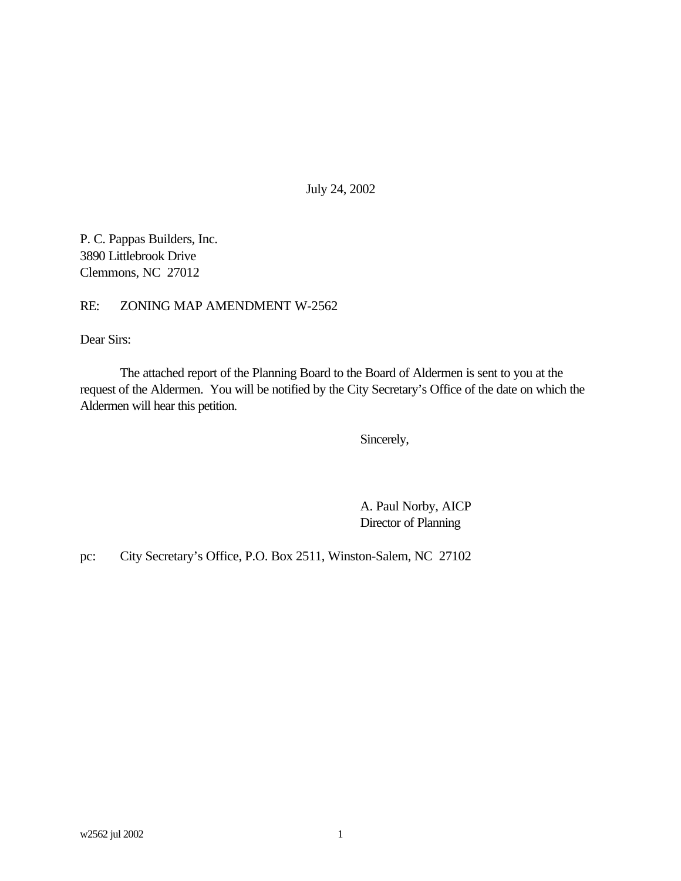July 24, 2002

P. C. Pappas Builders, Inc. 3890 Littlebrook Drive Clemmons, NC 27012

RE: ZONING MAP AMENDMENT W-2562

Dear Sirs:

The attached report of the Planning Board to the Board of Aldermen is sent to you at the request of the Aldermen. You will be notified by the City Secretary's Office of the date on which the Aldermen will hear this petition.

Sincerely,

A. Paul Norby, AICP Director of Planning

pc: City Secretary's Office, P.O. Box 2511, Winston-Salem, NC 27102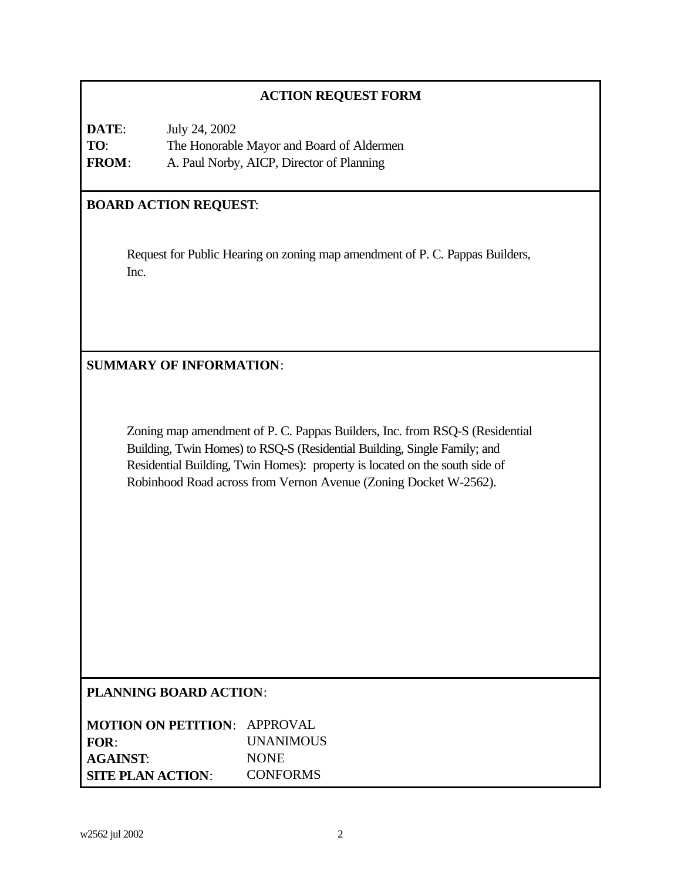# **ACTION REQUEST FORM**

| DATE:        | July 24, 2002                             |
|--------------|-------------------------------------------|
| TO:          | The Honorable Mayor and Board of Aldermen |
| <b>FROM:</b> | A. Paul Norby, AICP, Director of Planning |

# **BOARD ACTION REQUEST**:

Request for Public Hearing on zoning map amendment of P. C. Pappas Builders, Inc.

**SUMMARY OF INFORMATION**:

Zoning map amendment of P. C. Pappas Builders, Inc. from RSQ-S (Residential Building, Twin Homes) to RSQ-S (Residential Building, Single Family; and Residential Building, Twin Homes): property is located on the south side of Robinhood Road across from Vernon Avenue (Zoning Docket W-2562).

# **PLANNING BOARD ACTION**:

| <b>MOTION ON PETITION: APPROVAL</b> |                  |
|-------------------------------------|------------------|
| FOR:                                | <b>UNANIMOUS</b> |
| <b>AGAINST:</b>                     | <b>NONE</b>      |
| <b>SITE PLAN ACTION:</b>            | <b>CONFORMS</b>  |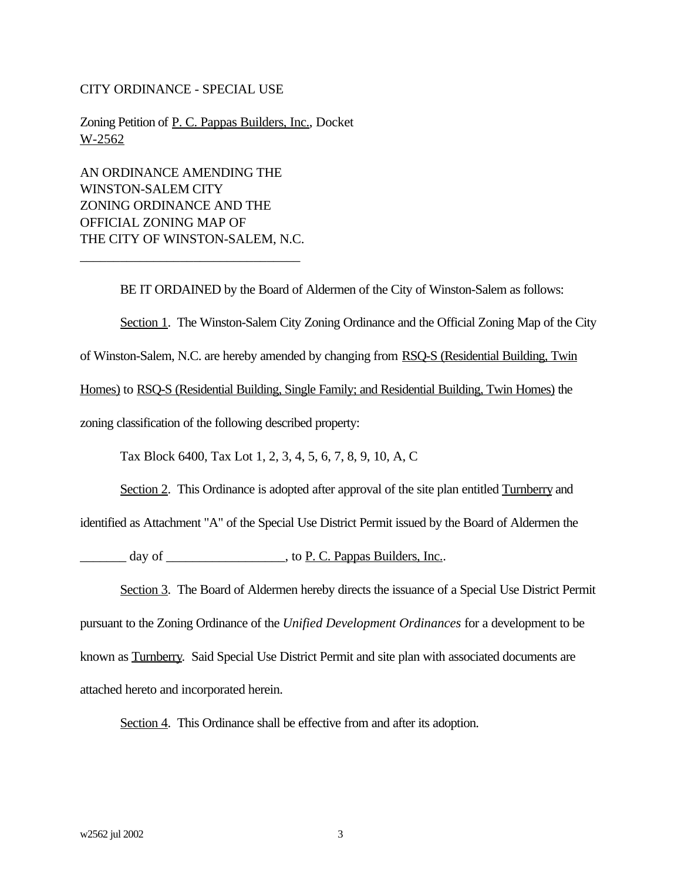#### CITY ORDINANCE - SPECIAL USE

Zoning Petition of P. C. Pappas Builders, Inc., Docket W-2562

AN ORDINANCE AMENDING THE WINSTON-SALEM CITY ZONING ORDINANCE AND THE OFFICIAL ZONING MAP OF THE CITY OF WINSTON-SALEM, N.C.

\_\_\_\_\_\_\_\_\_\_\_\_\_\_\_\_\_\_\_\_\_\_\_\_\_\_\_\_\_\_\_\_\_

BE IT ORDAINED by the Board of Aldermen of the City of Winston-Salem as follows:

Section 1. The Winston-Salem City Zoning Ordinance and the Official Zoning Map of the City

of Winston-Salem, N.C. are hereby amended by changing from RSQ-S (Residential Building, Twin

Homes) to RSQ-S (Residential Building, Single Family; and Residential Building, Twin Homes) the

zoning classification of the following described property:

Tax Block 6400, Tax Lot 1, 2, 3, 4, 5, 6, 7, 8, 9, 10, A, C

Section 2. This Ordinance is adopted after approval of the site plan entitled Turnberry and

identified as Attachment "A" of the Special Use District Permit issued by the Board of Aldermen the

day of \_\_\_\_\_\_\_\_\_\_\_\_\_\_\_\_\_\_\_\_\_\_, to P. C. Pappas Builders, Inc..

Section 3. The Board of Aldermen hereby directs the issuance of a Special Use District Permit pursuant to the Zoning Ordinance of the *Unified Development Ordinances* for a development to be known as Turnberry. Said Special Use District Permit and site plan with associated documents are attached hereto and incorporated herein.

Section 4. This Ordinance shall be effective from and after its adoption.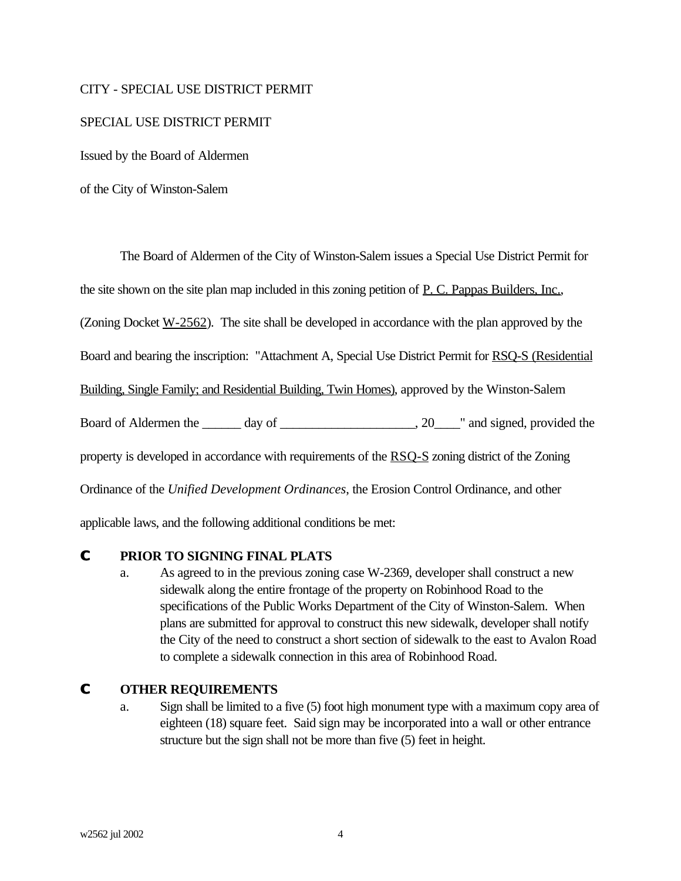#### CITY - SPECIAL USE DISTRICT PERMIT

#### SPECIAL USE DISTRICT PERMIT

Issued by the Board of Aldermen

of the City of Winston-Salem

The Board of Aldermen of the City of Winston-Salem issues a Special Use District Permit for

the site shown on the site plan map included in this zoning petition of P. C. Pappas Builders, Inc.,

(Zoning Docket  $W-2562$ ). The site shall be developed in accordance with the plan approved by the

Board and bearing the inscription: "Attachment A, Special Use District Permit for RSQ-S (Residential

Building, Single Family; and Residential Building, Twin Homes), approved by the Winston-Salem

Board of Aldermen the \_\_\_\_\_\_ day of \_\_\_\_\_\_\_\_\_\_\_\_\_\_\_\_\_\_\_\_\_, 20\_\_\_\_" and signed, provided the

property is developed in accordance with requirements of the RSO-S zoning district of the Zoning

Ordinance of the *Unified Development Ordinances*, the Erosion Control Ordinance, and other

applicable laws, and the following additional conditions be met:

#### **C PRIOR TO SIGNING FINAL PLATS**

a. As agreed to in the previous zoning case W-2369, developer shall construct a new sidewalk along the entire frontage of the property on Robinhood Road to the specifications of the Public Works Department of the City of Winston-Salem. When plans are submitted for approval to construct this new sidewalk, developer shall notify the City of the need to construct a short section of sidewalk to the east to Avalon Road to complete a sidewalk connection in this area of Robinhood Road.

#### **C OTHER REQUIREMENTS**

a. Sign shall be limited to a five (5) foot high monument type with a maximum copy area of eighteen (18) square feet. Said sign may be incorporated into a wall or other entrance structure but the sign shall not be more than five (5) feet in height.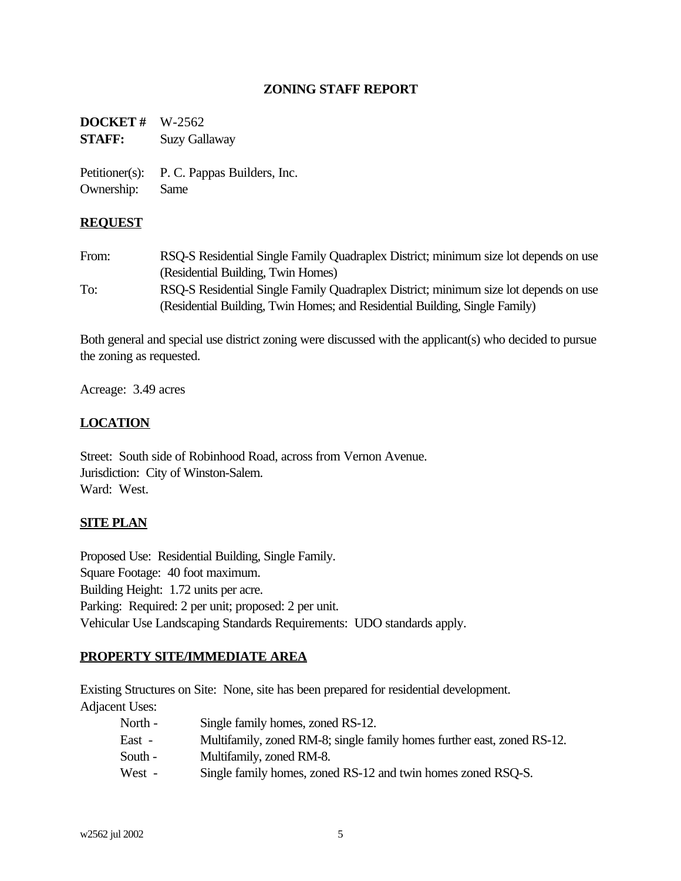# **ZONING STAFF REPORT**

**DOCKET #** W-2562 **STAFF:** Suzy Gallaway

Petitioner(s): P. C. Pappas Builders, Inc. Ownership: Same

#### **REQUEST**

From: RSQ-S Residential Single Family Quadraplex District; minimum size lot depends on use (Residential Building, Twin Homes) To: RSQ-S Residential Single Family Quadraplex District; minimum size lot depends on use (Residential Building, Twin Homes; and Residential Building, Single Family)

Both general and special use district zoning were discussed with the applicant(s) who decided to pursue the zoning as requested.

Acreage: 3.49 acres

# **LOCATION**

Street: South side of Robinhood Road, across from Vernon Avenue. Jurisdiction: City of Winston-Salem. Ward: West.

#### **SITE PLAN**

Proposed Use: Residential Building, Single Family. Square Footage: 40 foot maximum. Building Height: 1.72 units per acre. Parking: Required: 2 per unit; proposed: 2 per unit. Vehicular Use Landscaping Standards Requirements: UDO standards apply.

#### **PROPERTY SITE/IMMEDIATE AREA**

Existing Structures on Site: None, site has been prepared for residential development. Adjacent Uses:

| North - | Single family homes, zoned RS-12.                                       |
|---------|-------------------------------------------------------------------------|
| East -  | Multifamily, zoned RM-8; single family homes further east, zoned RS-12. |
| South - | Multifamily, zoned RM-8.                                                |
| West -  | Single family homes, zoned RS-12 and twin homes zoned RSQ-S.            |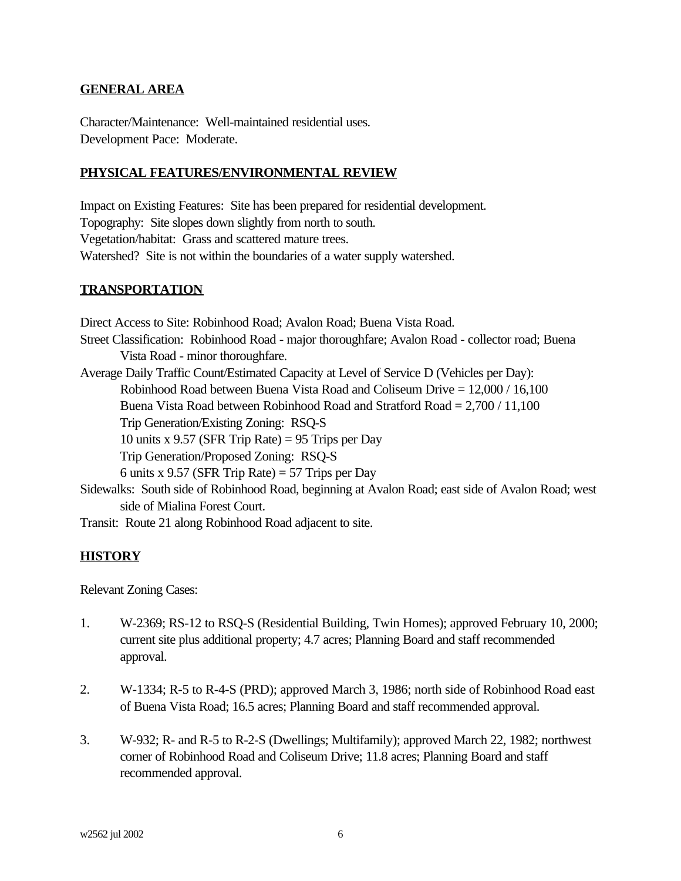# **GENERAL AREA**

Character/Maintenance: Well-maintained residential uses. Development Pace: Moderate.

# **PHYSICAL FEATURES/ENVIRONMENTAL REVIEW**

Impact on Existing Features: Site has been prepared for residential development. Topography: Site slopes down slightly from north to south. Vegetation/habitat: Grass and scattered mature trees. Watershed? Site is not within the boundaries of a water supply watershed.

#### **TRANSPORTATION**

Direct Access to Site: Robinhood Road; Avalon Road; Buena Vista Road. Street Classification: Robinhood Road - major thoroughfare; Avalon Road - collector road; Buena Vista Road - minor thoroughfare. Average Daily Traffic Count/Estimated Capacity at Level of Service D (Vehicles per Day): Robinhood Road between Buena Vista Road and Coliseum Drive = 12,000 / 16,100 Buena Vista Road between Robinhood Road and Stratford Road  $= 2.700 / 11,100$ Trip Generation/Existing Zoning: RSQ-S 10 units x 9.57 (SFR Trip Rate) = 95 Trips per Day Trip Generation/Proposed Zoning: RSQ-S 6 units x 9.57 (SFR Trip Rate) = 57 Trips per Day Sidewalks: South side of Robinhood Road, beginning at Avalon Road; east side of Avalon Road; west side of Mialina Forest Court.

Transit: Route 21 along Robinhood Road adjacent to site.

# **HISTORY**

Relevant Zoning Cases:

- 1. W-2369; RS-12 to RSQ-S (Residential Building, Twin Homes); approved February 10, 2000; current site plus additional property; 4.7 acres; Planning Board and staff recommended approval.
- 2. W-1334; R-5 to R-4-S (PRD); approved March 3, 1986; north side of Robinhood Road east of Buena Vista Road; 16.5 acres; Planning Board and staff recommended approval.
- 3. W-932; R- and R-5 to R-2-S (Dwellings; Multifamily); approved March 22, 1982; northwest corner of Robinhood Road and Coliseum Drive; 11.8 acres; Planning Board and staff recommended approval.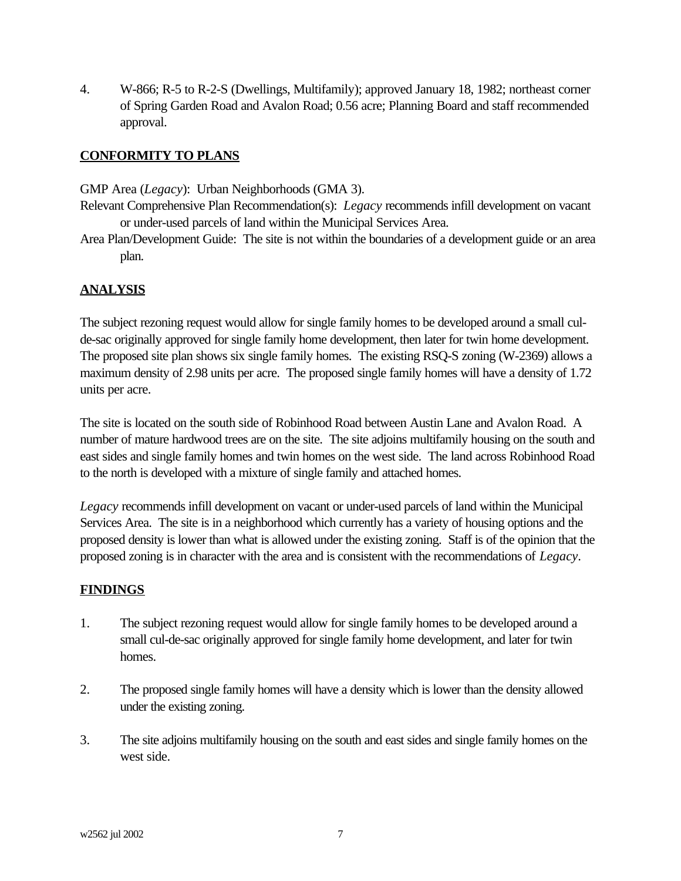4. W-866; R-5 to R-2-S (Dwellings, Multifamily); approved January 18, 1982; northeast corner of Spring Garden Road and Avalon Road; 0.56 acre; Planning Board and staff recommended approval.

# **CONFORMITY TO PLANS**

GMP Area (*Legacy*): Urban Neighborhoods (GMA 3).

- Relevant Comprehensive Plan Recommendation(s): *Legacy* recommends infill development on vacant or under-used parcels of land within the Municipal Services Area.
- Area Plan/Development Guide: The site is not within the boundaries of a development guide or an area plan.

# **ANALYSIS**

The subject rezoning request would allow for single family homes to be developed around a small culde-sac originally approved for single family home development, then later for twin home development. The proposed site plan shows six single family homes. The existing RSQ-S zoning (W-2369) allows a maximum density of 2.98 units per acre. The proposed single family homes will have a density of 1.72 units per acre.

The site is located on the south side of Robinhood Road between Austin Lane and Avalon Road. A number of mature hardwood trees are on the site. The site adjoins multifamily housing on the south and east sides and single family homes and twin homes on the west side. The land across Robinhood Road to the north is developed with a mixture of single family and attached homes.

*Legacy* recommends infill development on vacant or under-used parcels of land within the Municipal Services Area. The site is in a neighborhood which currently has a variety of housing options and the proposed density is lower than what is allowed under the existing zoning. Staff is of the opinion that the proposed zoning is in character with the area and is consistent with the recommendations of *Legacy*.

#### **FINDINGS**

- 1. The subject rezoning request would allow for single family homes to be developed around a small cul-de-sac originally approved for single family home development, and later for twin homes.
- 2. The proposed single family homes will have a density which is lower than the density allowed under the existing zoning.
- 3. The site adjoins multifamily housing on the south and east sides and single family homes on the west side.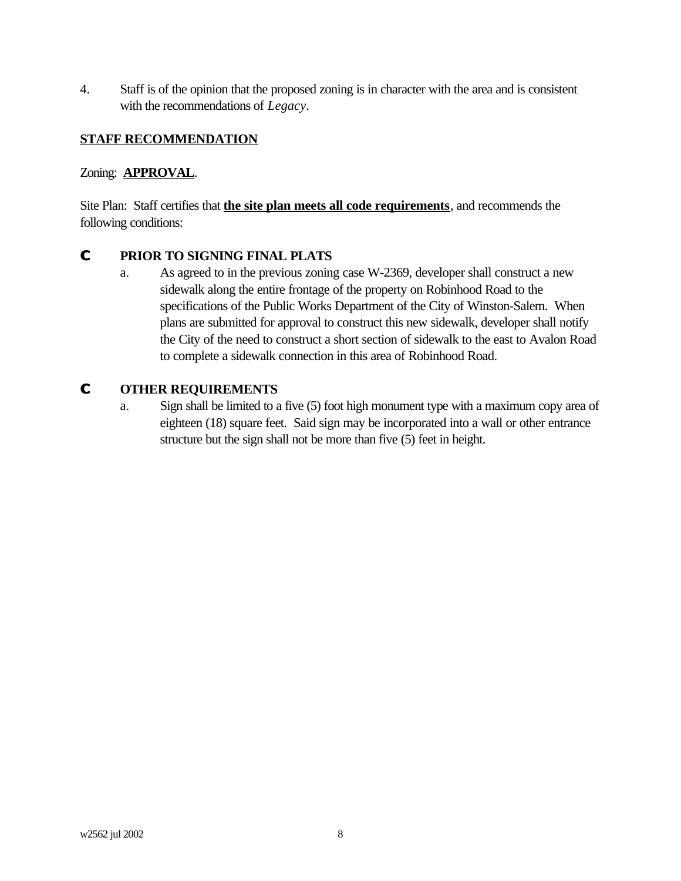4. Staff is of the opinion that the proposed zoning is in character with the area and is consistent with the recommendations of *Legacy*.

# **STAFF RECOMMENDATION**

# Zoning: **APPROVAL**.

Site Plan: Staff certifies that **the site plan meets all code requirements**, and recommends the following conditions:

# **C PRIOR TO SIGNING FINAL PLATS**

a. As agreed to in the previous zoning case W-2369, developer shall construct a new sidewalk along the entire frontage of the property on Robinhood Road to the specifications of the Public Works Department of the City of Winston-Salem. When plans are submitted for approval to construct this new sidewalk, developer shall notify the City of the need to construct a short section of sidewalk to the east to Avalon Road to complete a sidewalk connection in this area of Robinhood Road.

# **C OTHER REQUIREMENTS**

a. Sign shall be limited to a five (5) foot high monument type with a maximum copy area of eighteen (18) square feet. Said sign may be incorporated into a wall or other entrance structure but the sign shall not be more than five (5) feet in height.